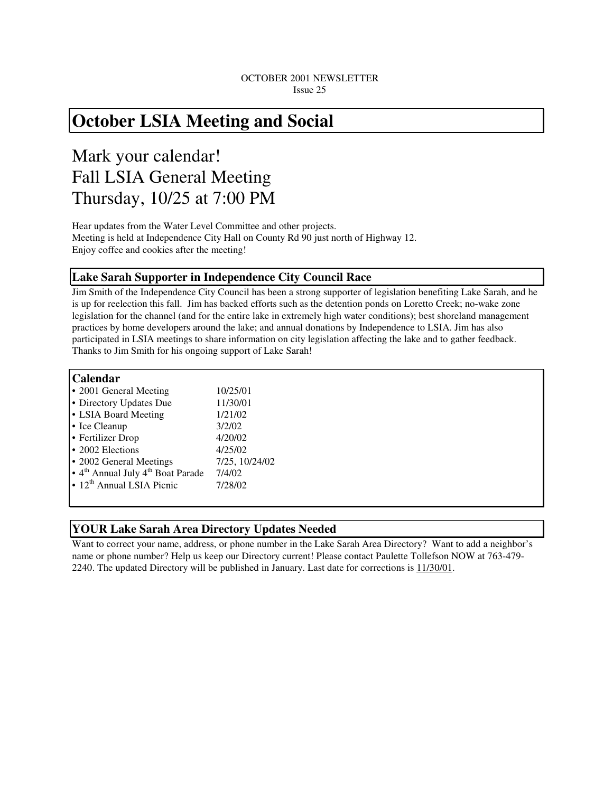# **October LSIA Meeting and Social**

# Mark your calendar! Fall LSIA General Meeting Thursday, 10/25 at 7:00 PM

Hear updates from the Water Level Committee and other projects. Meeting is held at Independence City Hall on County Rd 90 just north of Highway 12. Enjoy coffee and cookies after the meeting!

# **Lake Sarah Supporter in Independence City Council Race**

Jim Smith of the Independence City Council has been a strong supporter of legislation benefiting Lake Sarah, and he is up for reelection this fall. Jim has backed efforts such as the detention ponds on Loretto Creek; no-wake zone legislation for the channel (and for the entire lake in extremely high water conditions); best shoreland management practices by home developers around the lake; and annual donations by Independence to LSIA. Jim has also participated in LSIA meetings to share information on city legislation affecting the lake and to gather feedback. Thanks to Jim Smith for his ongoing support of Lake Sarah!

## **Calendar**

| • 2001 General Meeting                                    | 10/25/01       |
|-----------------------------------------------------------|----------------|
| • Directory Updates Due                                   | 11/30/01       |
| • LSIA Board Meeting                                      | 1/21/02        |
| • Ice Cleanup                                             | 3/2/02         |
| • Fertilizer Drop                                         | 4/20/02        |
| • 2002 Elections                                          | 4/25/02        |
| • 2002 General Meetings                                   | 7/25, 10/24/02 |
| • 4 <sup>th</sup> Annual July 4 <sup>th</sup> Boat Parade | 7/4/02         |
| • 12 <sup>th</sup> Annual LSIA Picnic                     | 7/28/02        |
|                                                           |                |

# **YOUR Lake Sarah Area Directory Updates Needed**

Want to correct your name, address, or phone number in the Lake Sarah Area Directory? Want to add a neighbor's name or phone number? Help us keep our Directory current! Please contact Paulette Tollefson NOW at 763-479- 2240. The updated Directory will be published in January. Last date for corrections is 11/30/01.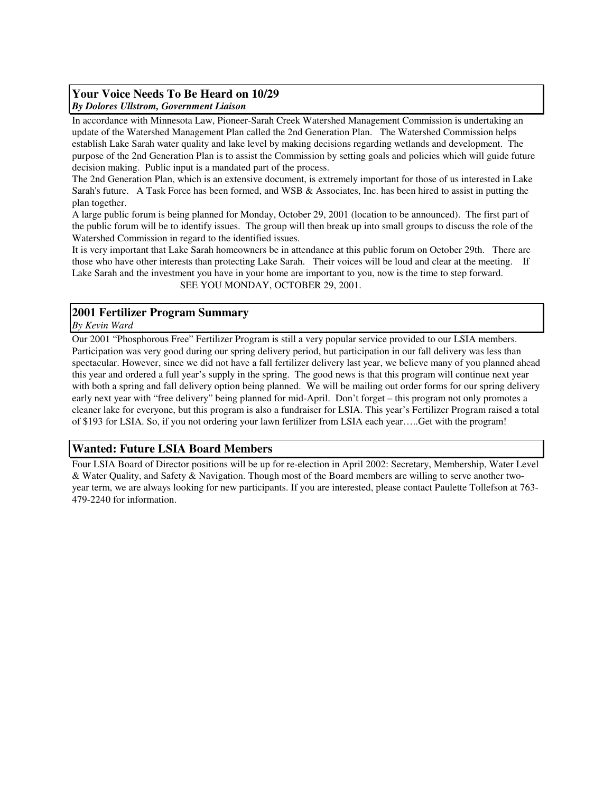## **Your Voice Needs To Be Heard on 10/29**  *By Dolores Ullstrom, Government Liaison*

In accordance with Minnesota Law, Pioneer-Sarah Creek Watershed Management Commission is undertaking an update of the Watershed Management Plan called the 2nd Generation Plan. The Watershed Commission helps establish Lake Sarah water quality and lake level by making decisions regarding wetlands and development. The purpose of the 2nd Generation Plan is to assist the Commission by setting goals and policies which will guide future decision making. Public input is a mandated part of the process.

The 2nd Generation Plan, which is an extensive document, is extremely important for those of us interested in Lake Sarah's future. A Task Force has been formed, and WSB & Associates, Inc. has been hired to assist in putting the plan together.

A large public forum is being planned for Monday, October 29, 2001 (location to be announced). The first part of the public forum will be to identify issues. The group will then break up into small groups to discuss the role of the Watershed Commission in regard to the identified issues.

It is very important that Lake Sarah homeowners be in attendance at this public forum on October 29th. There are those who have other interests than protecting Lake Sarah. Their voices will be loud and clear at the meeting. If Lake Sarah and the investment you have in your home are important to you, now is the time to step forward. SEE YOU MONDAY, OCTOBER 29, 2001.

## **2001 Fertilizer Program Summary**

*By Kevin Ward*

Our 2001 "Phosphorous Free" Fertilizer Program is still a very popular service provided to our LSIA members. Participation was very good during our spring delivery period, but participation in our fall delivery was less than spectacular. However, since we did not have a fall fertilizer delivery last year, we believe many of you planned ahead this year and ordered a full year's supply in the spring. The good news is that this program will continue next year with both a spring and fall delivery option being planned. We will be mailing out order forms for our spring delivery early next year with "free delivery" being planned for mid-April. Don't forget – this program not only promotes a cleaner lake for everyone, but this program is also a fundraiser for LSIA. This year's Fertilizer Program raised a total of \$193 for LSIA. So, if you not ordering your lawn fertilizer from LSIA each year…..Get with the program!

# **Wanted: Future LSIA Board Members**

Four LSIA Board of Director positions will be up for re-election in April 2002: Secretary, Membership, Water Level & Water Quality, and Safety & Navigation. Though most of the Board members are willing to serve another twoyear term, we are always looking for new participants. If you are interested, please contact Paulette Tollefson at 763- 479-2240 for information.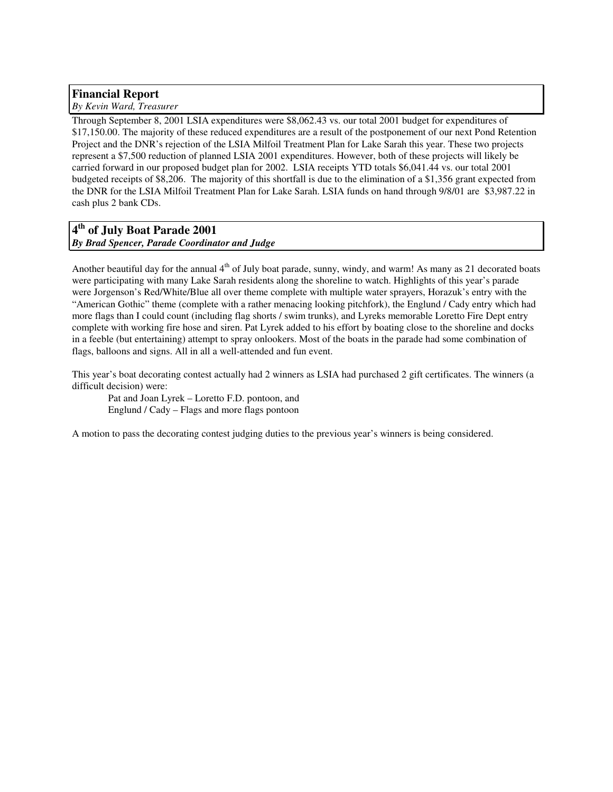# **Financial Report**

*By Kevin Ward, Treasurer*

Through September 8, 2001 LSIA expenditures were \$8,062.43 vs. our total 2001 budget for expenditures of \$17,150.00. The majority of these reduced expenditures are a result of the postponement of our next Pond Retention Project and the DNR's rejection of the LSIA Milfoil Treatment Plan for Lake Sarah this year. These two projects represent a \$7,500 reduction of planned LSIA 2001 expenditures. However, both of these projects will likely be carried forward in our proposed budget plan for 2002. LSIA receipts YTD totals \$6,041.44 vs. our total 2001 budgeted receipts of \$8,206. The majority of this shortfall is due to the elimination of a \$1,356 grant expected from the DNR for the LSIA Milfoil Treatment Plan for Lake Sarah. LSIA funds on hand through 9/8/01 are \$3,987.22 in cash plus 2 bank CDs.

# **4 th of July Boat Parade 2001**  *By Brad Spencer, Parade Coordinator and Judge*

Another beautiful day for the annual  $4<sup>th</sup>$  of July boat parade, sunny, windy, and warm! As many as 21 decorated boats were participating with many Lake Sarah residents along the shoreline to watch. Highlights of this year's parade were Jorgenson's Red/White/Blue all over theme complete with multiple water sprayers, Horazuk's entry with the "American Gothic" theme (complete with a rather menacing looking pitchfork), the Englund / Cady entry which had more flags than I could count (including flag shorts / swim trunks), and Lyreks memorable Loretto Fire Dept entry complete with working fire hose and siren. Pat Lyrek added to his effort by boating close to the shoreline and docks in a feeble (but entertaining) attempt to spray onlookers. Most of the boats in the parade had some combination of flags, balloons and signs. All in all a well-attended and fun event.

This year's boat decorating contest actually had 2 winners as LSIA had purchased 2 gift certificates. The winners (a difficult decision) were:

Pat and Joan Lyrek – Loretto F.D. pontoon, and Englund / Cady – Flags and more flags pontoon

A motion to pass the decorating contest judging duties to the previous year's winners is being considered.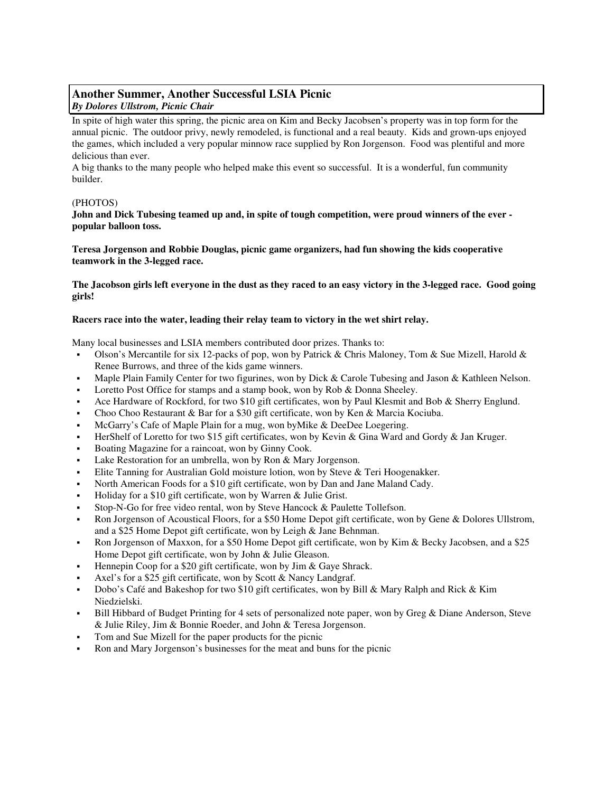## **Another Summer, Another Successful LSIA Picnic**  *By Dolores Ullstrom, Picnic Chair*

In spite of high water this spring, the picnic area on Kim and Becky Jacobsen's property was in top form for the annual picnic. The outdoor privy, newly remodeled, is functional and a real beauty. Kids and grown-ups enjoyed the games, which included a very popular minnow race supplied by Ron Jorgenson. Food was plentiful and more delicious than ever.

A big thanks to the many people who helped make this event so successful. It is a wonderful, fun community builder.

## (PHOTOS)

## **John and Dick Tubesing teamed up and, in spite of tough competition, were proud winners of the ever popular balloon toss.**

**Teresa Jorgenson and Robbie Douglas, picnic game organizers, had fun showing the kids cooperative teamwork in the 3-legged race.** 

**The Jacobson girls left everyone in the dust as they raced to an easy victory in the 3-legged race. Good going girls!** 

## **Racers race into the water, leading their relay team to victory in the wet shirt relay.**

Many local businesses and LSIA members contributed door prizes. Thanks to:

- Olson's Mercantile for six 12-packs of pop, won by Patrick & Chris Maloney, Tom & Sue Mizell, Harold & Renee Burrows, and three of the kids game winners.
- Maple Plain Family Center for two figurines, won by Dick & Carole Tubesing and Jason & Kathleen Nelson.
- Loretto Post Office for stamps and a stamp book, won by Rob & Donna Sheeley.
- Ace Hardware of Rockford, for two \$10 gift certificates, won by Paul Klesmit and Bob & Sherry Englund.
- Choo Choo Restaurant & Bar for a \$30 gift certificate, won by Ken & Marcia Kociuba.
- McGarry's Cafe of Maple Plain for a mug, won byMike & DeeDee Loegering.
- HerShelf of Loretto for two \$15 gift certificates, won by Kevin & Gina Ward and Gordy & Jan Kruger.
- Boating Magazine for a raincoat, won by Ginny Cook.
- Lake Restoration for an umbrella, won by Ron & Mary Jorgenson.
- Elite Tanning for Australian Gold moisture lotion, won by Steve & Teri Hoogenakker.
- North American Foods for a \$10 gift certificate, won by Dan and Jane Maland Cady.
- Holiday for a \$10 gift certificate, won by Warren & Julie Grist.
- Stop-N-Go for free video rental, won by Steve Hancock & Paulette Tollefson.
- Ron Jorgenson of Acoustical Floors, for a \$50 Home Depot gift certificate, won by Gene & Dolores Ullstrom, and a \$25 Home Depot gift certificate, won by Leigh & Jane Behnman.
- Ron Jorgenson of Maxxon, for a \$50 Home Depot gift certificate, won by Kim & Becky Jacobsen, and a \$25 Home Depot gift certificate, won by John & Julie Gleason.
- Hennepin Coop for a \$20 gift certificate, won by Jim & Gaye Shrack.
- Axel's for a \$25 gift certificate, won by Scott & Nancy Landgraf.
- Dobo's Café and Bakeshop for two \$10 gift certificates, won by Bill & Mary Ralph and Rick & Kim Niedzielski.
- Bill Hibbard of Budget Printing for 4 sets of personalized note paper, won by Greg & Diane Anderson, Steve & Julie Riley, Jim & Bonnie Roeder, and John & Teresa Jorgenson.
- Tom and Sue Mizell for the paper products for the picnic
- Ron and Mary Jorgenson's businesses for the meat and buns for the picnic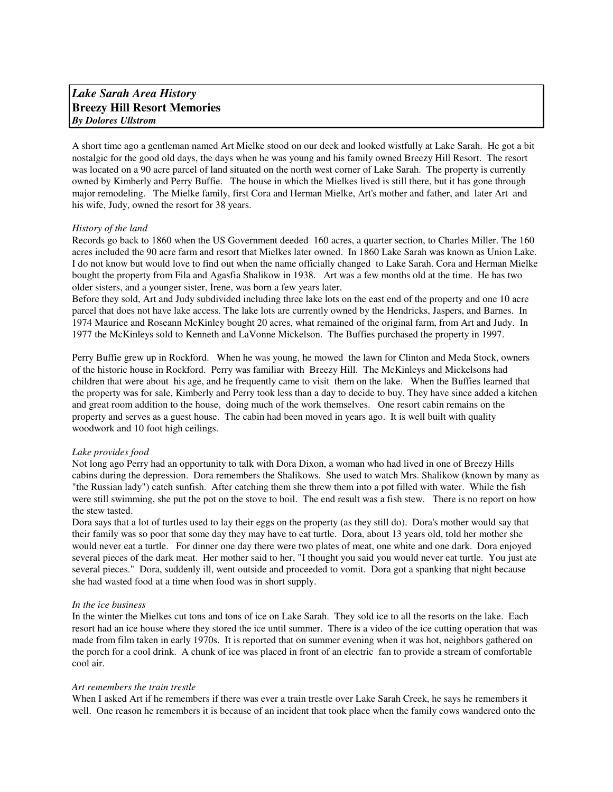# *Lake Sarah Area History*  **Breezy Hill Resort Memories**  *By Dolores Ullstrom*

A short time ago a gentleman named Art Mielke stood on our deck and looked wistfully at Lake Sarah. He got a bit nostalgic for the good old days, the days when he was young and his family owned Breezy Hill Resort. The resort was located on a 90 acre parcel of land situated on the north west corner of Lake Sarah. The property is currently owned by Kimberly and Perry Buffie. The house in which the Mielkes lived is still there, but it has gone through major remodeling. The Mielke family, first Cora and Herman Mielke, Art's mother and father, and later Art and his wife, Judy, owned the resort for 38 years.

## *History of the land*

Records go back to 1860 when the US Government deeded 160 acres, a quarter section, to Charles Miller. The 160 acres included the 90 acre farm and resort that Mielkes later owned. In 1860 Lake Sarah was known as Union Lake. I do not know but would love to find out when the name officially changed to Lake Sarah. Cora and Herman Mielke bought the property from Fila and Agasfia Shalikow in 1938. Art was a few months old at the time. He has two older sisters, and a younger sister, Irene, was born a few years later.

Before they sold, Art and Judy subdivided including three lake lots on the east end of the property and one 10 acre parcel that does not have lake access. The lake lots are currently owned by the Hendricks, Jaspers, and Barnes. In 1974 Maurice and Roseann McKinley bought 20 acres, what remained of the original farm, from Art and Judy. In 1977 the McKinleys sold to Kenneth and LaVonne Mickelson. The Buffies purchased the property in 1997.

Perry Buffie grew up in Rockford. When he was young, he mowed the lawn for Clinton and Meda Stock, owners of the historic house in Rockford. Perry was familiar with Breezy Hill. The McKinleys and Mickelsons had children that were about his age, and he frequently came to visit them on the lake. When the Buffies learned that the property was for sale, Kimberly and Perry took less than a day to decide to buy. They have since added a kitchen and great room addition to the house, doing much of the work themselves. One resort cabin remains on the property and serves as a guest house. The cabin had been moved in years ago. It is well built with quality woodwork and 10 foot high ceilings.

### *Lake provides food*

Not long ago Perry had an opportunity to talk with Dora Dixon, a woman who had lived in one of Breezy Hills cabins during the depression. Dora remembers the Shalikows. She used to watch Mrs. Shalikow (known by many as "the Russian lady") catch sunfish. After catching them she threw them into a pot filled with water. While the fish were still swimming, she put the pot on the stove to boil. The end result was a fish stew. There is no report on how the stew tasted.

Dora says that a lot of turtles used to lay their eggs on the property (as they still do). Dora's mother would say that their family was so poor that some day they may have to eat turtle. Dora, about 13 years old, told her mother she would never eat a turtle. For dinner one day there were two plates of meat, one white and one dark. Dora enjoyed several pieces of the dark meat. Her mother said to her, "I thought you said you would never eat turtle. You just ate several pieces." Dora, suddenly ill, went outside and proceeded to vomit. Dora got a spanking that night because she had wasted food at a time when food was in short supply.

### *In the ice business*

In the winter the Mielkes cut tons and tons of ice on Lake Sarah. They sold ice to all the resorts on the lake. Each resort had an ice house where they stored the ice until summer. There is a video of the ice cutting operation that was made from film taken in early 1970s. It is reported that on summer evening when it was hot, neighbors gathered on the porch for a cool drink. A chunk of ice was placed in front of an electric fan to provide a stream of comfortable cool air.

### *Art remembers the train trestle*

When I asked Art if he remembers if there was ever a train trestle over Lake Sarah Creek, he says he remembers it well. One reason he remembers it is because of an incident that took place when the family cows wandered onto the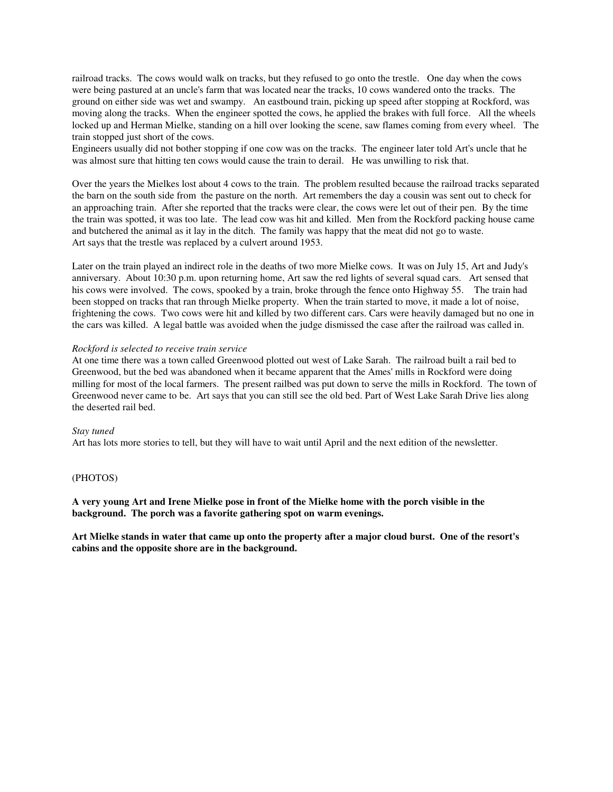railroad tracks. The cows would walk on tracks, but they refused to go onto the trestle. One day when the cows were being pastured at an uncle's farm that was located near the tracks, 10 cows wandered onto the tracks. The ground on either side was wet and swampy. An eastbound train, picking up speed after stopping at Rockford, was moving along the tracks. When the engineer spotted the cows, he applied the brakes with full force. All the wheels locked up and Herman Mielke, standing on a hill over looking the scene, saw flames coming from every wheel. The train stopped just short of the cows.

Engineers usually did not bother stopping if one cow was on the tracks. The engineer later told Art's uncle that he was almost sure that hitting ten cows would cause the train to derail. He was unwilling to risk that.

Over the years the Mielkes lost about 4 cows to the train. The problem resulted because the railroad tracks separated the barn on the south side from the pasture on the north. Art remembers the day a cousin was sent out to check for an approaching train. After she reported that the tracks were clear, the cows were let out of their pen. By the time the train was spotted, it was too late. The lead cow was hit and killed. Men from the Rockford packing house came and butchered the animal as it lay in the ditch. The family was happy that the meat did not go to waste. Art says that the trestle was replaced by a culvert around 1953.

Later on the train played an indirect role in the deaths of two more Mielke cows. It was on July 15, Art and Judy's anniversary. About 10:30 p.m. upon returning home, Art saw the red lights of several squad cars. Art sensed that his cows were involved. The cows, spooked by a train, broke through the fence onto Highway 55. The train had been stopped on tracks that ran through Mielke property. When the train started to move, it made a lot of noise, frightening the cows. Two cows were hit and killed by two different cars. Cars were heavily damaged but no one in the cars was killed. A legal battle was avoided when the judge dismissed the case after the railroad was called in.

#### *Rockford is selected to receive train service*

At one time there was a town called Greenwood plotted out west of Lake Sarah. The railroad built a rail bed to Greenwood, but the bed was abandoned when it became apparent that the Ames' mills in Rockford were doing milling for most of the local farmers. The present railbed was put down to serve the mills in Rockford. The town of Greenwood never came to be. Art says that you can still see the old bed. Part of West Lake Sarah Drive lies along the deserted rail bed.

#### *Stay tuned*

Art has lots more stories to tell, but they will have to wait until April and the next edition of the newsletter.

#### (PHOTOS)

**A very young Art and Irene Mielke pose in front of the Mielke home with the porch visible in the background. The porch was a favorite gathering spot on warm evenings.** 

**Art Mielke stands in water that came up onto the property after a major cloud burst. One of the resort's cabins and the opposite shore are in the background.**